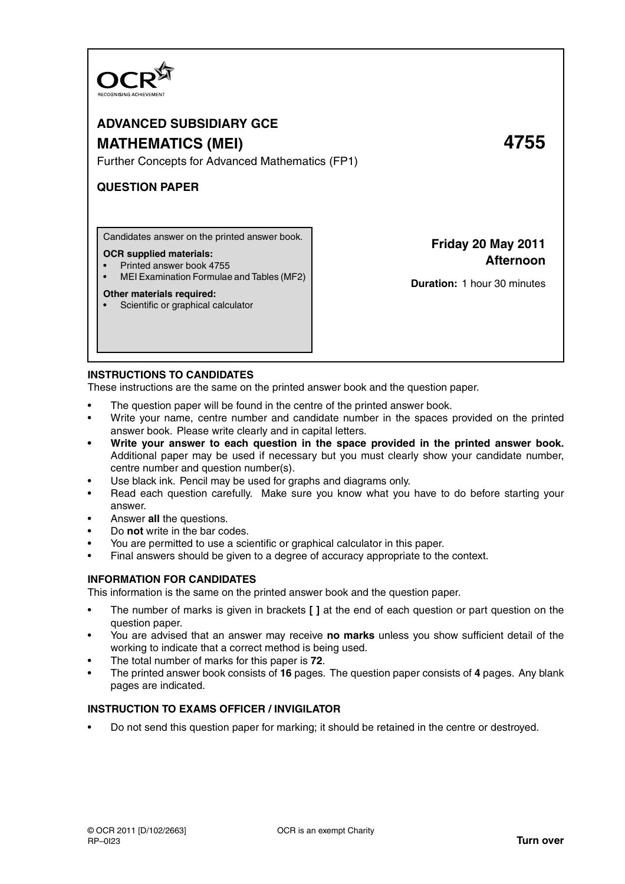

# **ADVANCED SUBSIDIARY GCE MATHEMATICS (MEI) 4755**

Further Concepts for Advanced Mathematics (FP1)

# **QUESTION PAPER**

Candidates answer on the printed answer book.

#### **OCR supplied materials:**

- Printed answer book 4755
- MEI Examination Formulae and Tables (MF2)

#### **Other materials required:**

• Scientific or graphical calculator

**Friday 20 May 2011 Afternoon**

**Duration:** 1 hour 30 minutes

# **INSTRUCTIONS TO CANDIDATES**

These instructions are the same on the printed answer book and the question paper.

- The question paper will be found in the centre of the printed answer book.
- Write your name, centre number and candidate number in the spaces provided on the printed answer book. Please write clearly and in capital letters.
- **Write your answer to each question in the space provided in the printed answer book.** Additional paper may be used if necessary but you must clearly show your candidate number, centre number and question number(s).
- Use black ink. Pencil may be used for graphs and diagrams only.
- Read each question carefully. Make sure you know what you have to do before starting your answer.
- Answer **all** the questions.
- Do **not** write in the bar codes.
- You are permitted to use a scientific or graphical calculator in this paper.
- Final answers should be given to a degree of accuracy appropriate to the context.

# **INFORMATION FOR CANDIDATES**

This information is the same on the printed answer book and the question paper.

- The number of marks is given in brackets **[ ]** at the end of each question or part question on the question paper.
- You are advised that an answer may receive **no marks** unless you show sufficient detail of the working to indicate that a correct method is being used.
- The total number of marks for this paper is **72**.
- The printed answer book consists of **16** pages. The question paper consists of **4** pages. Any blank pages are indicated.

# **INSTRUCTION TO EXAMS OFFICER / INVIGILATOR**

• Do not send this question paper for marking; it should be retained in the centre or destroyed.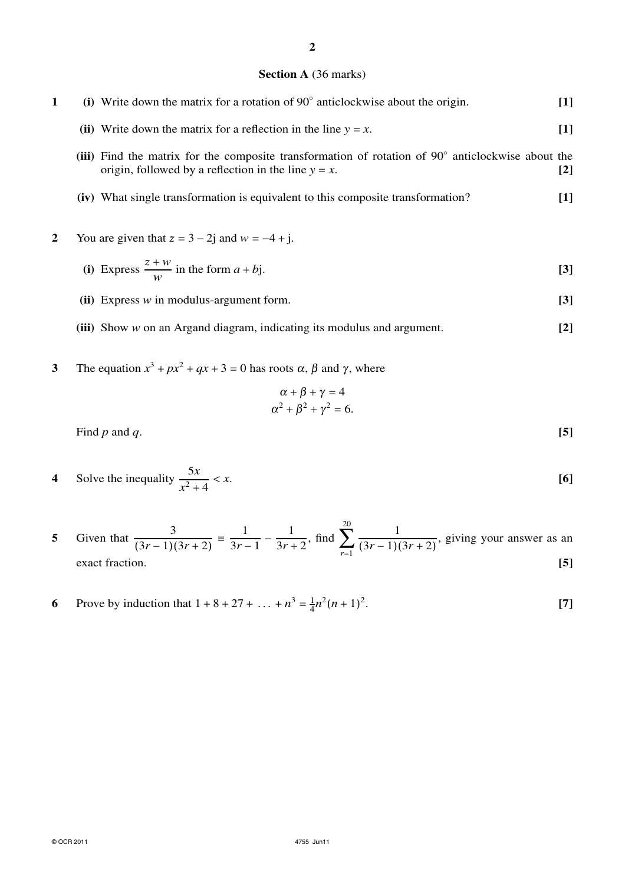## **Section A** (36 marks)

| 1 | (i) Write down the matrix for a rotation of $90^{\circ}$ anticlockwise about the origin.                                                                    | $[1]$             |
|---|-------------------------------------------------------------------------------------------------------------------------------------------------------------|-------------------|
|   | (ii) Write down the matrix for a reflection in the line $y = x$ .                                                                                           | $[1]$             |
|   | (iii) Find the matrix for the composite transformation of rotation of 90° anticlockwise about the<br>origin, followed by a reflection in the line $y = x$ . | $\lceil 2 \rceil$ |
|   | (iv) What single transformation is equivalent to this composite transformation?                                                                             | $\lceil 1 \rceil$ |
| 2 | You are given that $z = 3 - 2j$ and $w = -4 + j$ .                                                                                                          |                   |
|   | (i) Express $\frac{z+w}{w}$ in the form $a + bj$ .                                                                                                          | $\lceil 3 \rceil$ |

- **(ii)** Express *w* in modulus-argument form. **[3]**
- **(iii)** Show *w* on an Argand diagram, indicating its modulus and argument. **[2]**
- **3** The equation  $x^3 + px^2 + qx + 3 = 0$  has roots  $\alpha$ ,  $\beta$  and  $\gamma$ , where

$$
\alpha + \beta + \gamma = 4
$$
  

$$
\alpha^2 + \beta^2 + \gamma^2 = 6.
$$

Find *p* and *q*. **[5]**

4 Solve the inequality 
$$
\frac{5x}{x^2 + 4} < x
$$
. [6]

- **5** Given that  $\frac{3}{(3r-1)(3r+2)} \equiv \frac{1}{3r-1}$  $\frac{1}{3r-1} - \frac{1}{3r+1}$  $\frac{1}{3r+2}$ , find  $\sum_{r=1}^{20} \frac{1}{(3r-1)(5}$  $\frac{1}{(3r-1)(3r+2)}$ , giving your answer as an exact fraction. **[5]**
- **6** Prove by induction that  $1 + 8 + 27 + ... + n^3 = \frac{1}{4}$  $\frac{1}{4}n^2(n+1)^2$ . **[7]**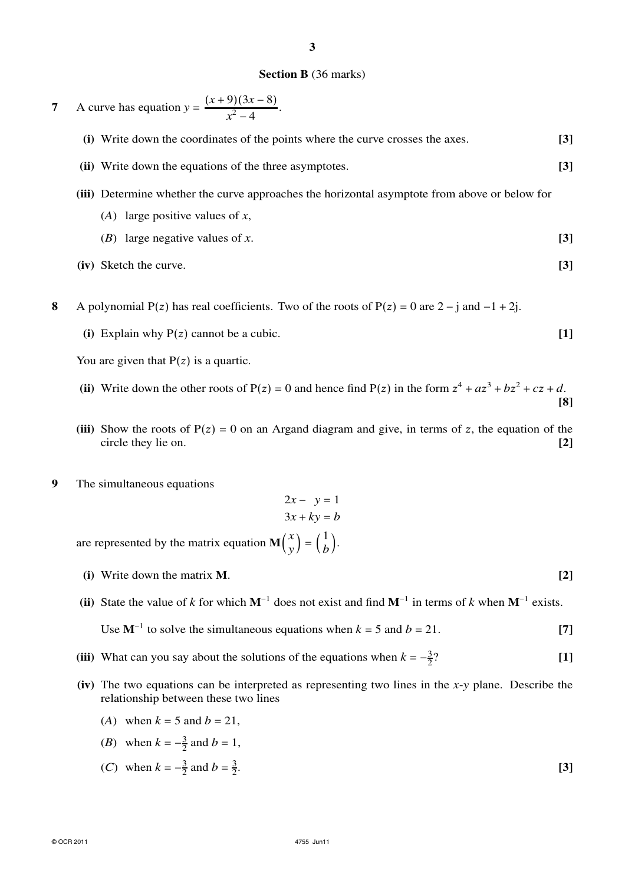#### **Section B** (36 marks)

**7** A curve has equation  $y = \frac{(x+9)(3x-8)}{2}$  $\frac{f(3x-6)}{x^2-4}$ . **(i)** Write down the coordinates of the points where the curve crosses the axes. **[3] (ii)** Write down the equations of the three asymptotes. **[3] (iii)** Determine whether the curve approaches the horizontal asymptote from above or below for (*A*) large positive values of *x*, (*B*) large negative values of *x*. **[3]**

- **(iv)** Sketch the curve. **[3]**
- **8** A polynomial P(z) has real coefficients. Two of the roots of P(z) = 0 are  $2 j$  and  $-1 + 2j$ .
	- (i) Explain why  $P(z)$  cannot be a cubic.  $[1]$

You are given that  $P(z)$  is a quartic.

- (ii) Write down the other roots of  $P(z) = 0$  and hence find  $P(z)$  in the form  $z^4 + az^3 + bz^2 + cz + d$ . **[8]**
- (iii) Show the roots of  $P(z) = 0$  on an Argand diagram and give, in terms of z, the equation of the circle they lie on. **[2] [2]**
- **9** The simultaneous equations

$$
2x - y = 1
$$

$$
3x + ky = b
$$

are represented by the matrix equation  $\mathbf{M} \begin{pmatrix} x \\ y \end{pmatrix}$  $\begin{pmatrix} x \\ y \end{pmatrix} = \begin{pmatrix} 1 \\ b \end{pmatrix}$  $\begin{bmatrix} 1 \\ b \end{bmatrix}$ .

- **(i)** Write down the matrix **M**. **[2]**
- **(ii)** State the value of *k* for which  $M^{-1}$  does not exist and find  $M^{-1}$  in terms of *k* when  $M^{-1}$  exists.

Use  $M^{-1}$  to solve the simultaneous equations when  $k = 5$  and  $b = 21$ . [7]

- **(iii)** What can you say about the solutions of the equations when  $k = -\frac{3}{2}$ 2 ? **[1]**
- **(iv)** The two equations can be interpreted as representing two lines in the *x*-*y* plane. Describe the relationship between these two lines
	- (*A*) when  $k = 5$  and  $b = 21$ ,

(*B*) when 
$$
k = -\frac{3}{2}
$$
 and  $b = 1$ ,

(*C*) when  $k = -\frac{3}{2}$  $\frac{3}{2}$  and  $b = \frac{3}{2}$ 2 . **[3]**

**3**